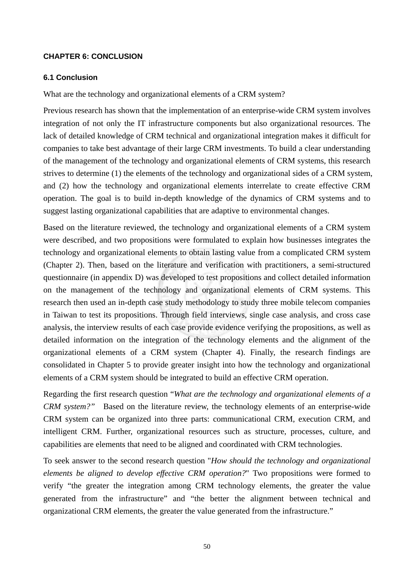## **CHAPTER 6: CONCLUSION**

### **6.1 Conclusion**

What are the technology and organizational elements of a CRM system?

Previous research has shown that the implementation of an enterprise-wide CRM system involves integration of not only the IT infrastructure components but also organizational resources. The lack of detailed knowledge of CRM technical and organizational integration makes it difficult for companies to take best advantage of their large CRM investments. To build a clear understanding of the management of the technology and organizational elements of CRM systems, this research strives to determine (1) the elements of the technology and organizational sides of a CRM system, and (2) how the technology and organizational elements interrelate to create effective CRM operation. The goal is to build in-depth knowledge of the dynamics of CRM systems and to suggest lasting organizational capabilities that are adaptive to environmental changes.

Based on the literature reviewed, the technology and organizational elements of a CRM system were described, and two propositions were formulated to explain how businesses integrates the technology and organizational elements to obtain lasting value from a complicated CRM system (Chapter 2). Then, based on the literature and verification with practitioners, a semi-structured questionnaire (in appendix D) was developed to test propositions and collect detailed information on the management of the technology and organizational elements of CRM systems. This research then used an in-depth case study methodology to study three mobile telecom companies in Taiwan to test its propositions. Through field interviews, single case analysis, and cross case analysis, the interview results of each case provide evidence verifying the propositions, as well as detailed information on the integration of the technology elements and the alignment of the organizational elements of a CRM system (Chapter 4). Finally, the research findings are consolidated in Chapter 5 to provide greater insight into how the technology and organizational elements of a CRM system should be integrated to build an effective CRM operation.

Regarding the first research question "*What are the technology and organizational elements of a CRM system?"* Based on the literature review, the technology elements of an enterprise-wide CRM system can be organized into three parts: communicational CRM, execution CRM, and intelligent CRM. Further, organizational resources such as structure, processes, culture, and capabilities are elements that need to be aligned and coordinated with CRM technologies.

To seek answer to the second research question "*How should the technology and organizational elements be aligned to develop effective CRM operation?*" Two propositions were formed to verify "the greater the integration among CRM technology elements, the greater the value generated from the infrastructure" and "the better the alignment between technical and organizational CRM elements, the greater the value generated from the infrastructure."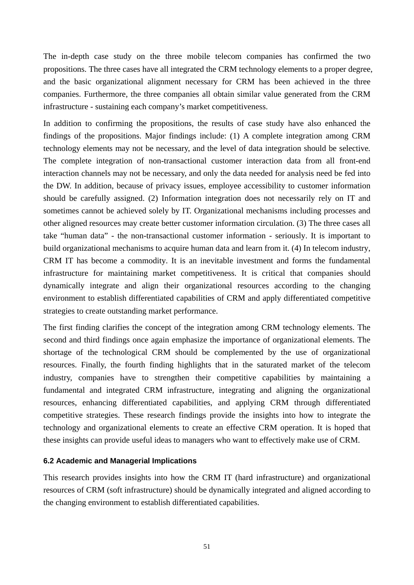The in-depth case study on the three mobile telecom companies has confirmed the two propositions. The three cases have all integrated the CRM technology elements to a proper degree, and the basic organizational alignment necessary for CRM has been achieved in the three companies. Furthermore, the three companies all obtain similar value generated from the CRM infrastructure - sustaining each company's market competitiveness.

In addition to confirming the propositions, the results of case study have also enhanced the findings of the propositions. Major findings include: (1) A complete integration among CRM technology elements may not be necessary, and the level of data integration should be selective*.* The complete integration of non-transactional customer interaction data from all front-end interaction channels may not be necessary, and only the data needed for analysis need be fed into the DW. In addition, because of privacy issues, employee accessibility to customer information should be carefully assigned. (2) Information integration does not necessarily rely on IT and sometimes cannot be achieved solely by IT. Organizational mechanisms including processes and other aligned resources may create better customer information circulation. (3) The three cases all take "human data" - the non-transactional customer information - seriously. It is important to build organizational mechanisms to acquire human data and learn from it. (4) In telecom industry, CRM IT has become a commodity. It is an inevitable investment and forms the fundamental infrastructure for maintaining market competitiveness. It is critical that companies should dynamically integrate and align their organizational resources according to the changing environment to establish differentiated capabilities of CRM and apply differentiated competitive strategies to create outstanding market performance.

The first finding clarifies the concept of the integration among CRM technology elements. The second and third findings once again emphasize the importance of organizational elements. The shortage of the technological CRM should be complemented by the use of organizational resources. Finally, the fourth finding highlights that in the saturated market of the telecom industry, companies have to strengthen their competitive capabilities by maintaining a fundamental and integrated CRM infrastructure, integrating and aligning the organizational resources, enhancing differentiated capabilities, and applying CRM through differentiated competitive strategies. These research findings provide the insights into how to integrate the technology and organizational elements to create an effective CRM operation. It is hoped that these insights can provide useful ideas to managers who want to effectively make use of CRM.

## **6.2 Academic and Managerial Implications**

This research provides insights into how the CRM IT (hard infrastructure) and organizational resources of CRM (soft infrastructure) should be dynamically integrated and aligned according to the changing environment to establish differentiated capabilities.